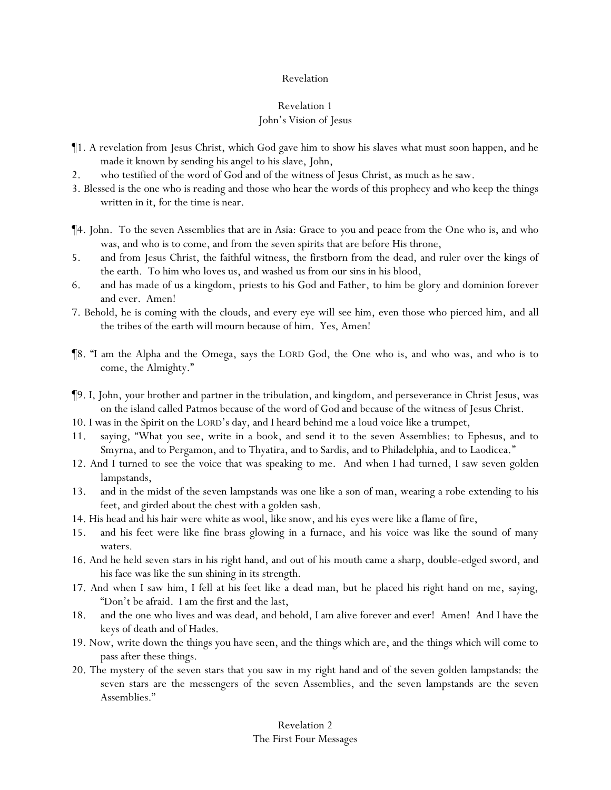# Revelation 1 John's Vision of Jesus

- ¶1. A revelation from Jesus Christ, which God gave him to show his slaves what must soon happen, and he made it known by sending his angel to his slave, John,
- 2. who testified of the word of God and of the witness of Jesus Christ, as much as he saw.
- 3. Blessed is the one who is reading and those who hear the words of this prophecy and who keep the things written in it, for the time is near.
- ¶4. John. To the seven Assemblies that are in Asia: Grace to *y*ou and peace from the One who is, and who was, and who is to come, and from the seven spirits that are before His throne,
- 5. and from Jesus Christ, the faithful witness, the firstborn from the dead, and ruler over the kings of the earth. To him who loves us, and washed us from our sins in his blood,
- 6. and has made of us a kingdom, priests to his God and Father, to him be glory and dominion forever and ever. Amen!
- 7. Behold, he is coming with the clouds, and every eye will see him, even those who pierced him, and all the tribes of the earth will mourn because of him. Yes, Amen!
- ¶8. "I am the Alpha and the Omega, says the LORD God, the One who is, and who was, and who is to come, the Almighty."
- ¶9. I, John, *y*our brother and partner in the tribulation, and kingdom, and perseverance in Christ Jesus, was on the island called Patmos because of the word of God and because of the witness of Jesus Christ.
- 10. I was in the Spirit on the LORD's day, and I heard behind me a loud voice like a trumpet,
- 11. saying, "What you see, write in a book, and send it to the seven Assemblies: to Ephesus, and to Smyrna, and to Pergamon, and to Thyatira, and to Sardis, and to Philadelphia, and to Laodicea."
- 12. And I turned to see the voice that was speaking to me. And when I had turned, I saw seven golden lampstands,
- 13. and in the midst of the seven lampstands was one like a son of man, wearing a robe extending to his feet, and girded about the chest with a golden sash.
- 14. His head and his hair were white as wool, like snow, and his eyes were like a flame of fire,
- 15. and his feet were like fine brass glowing in a furnace, and his voice was like the sound of many waters.
- 16. And he held seven stars in his right hand, and out of his mouth came a sharp, double-edged sword, and his face was like the sun shining in its strength.
- 17. And when I saw him, I fell at his feet like a dead man, but he placed his right hand on me, saying, "Don't be afraid. I am the first and the last,
- 18. and the one who lives and was dead, and behold, I am alive forever and ever! Amen! And I have the keys of death and of Hades.
- 19. Now, write down the things you have seen, and the things which are, and the things which will come to pass after these things.
- 20. The mystery of the seven stars that you saw in my right hand and of the seven golden lampstands: the seven stars are the messengers of the seven Assemblies, and the seven lampstands are the seven Assemblies."

# Revelation 2 The First Four Messages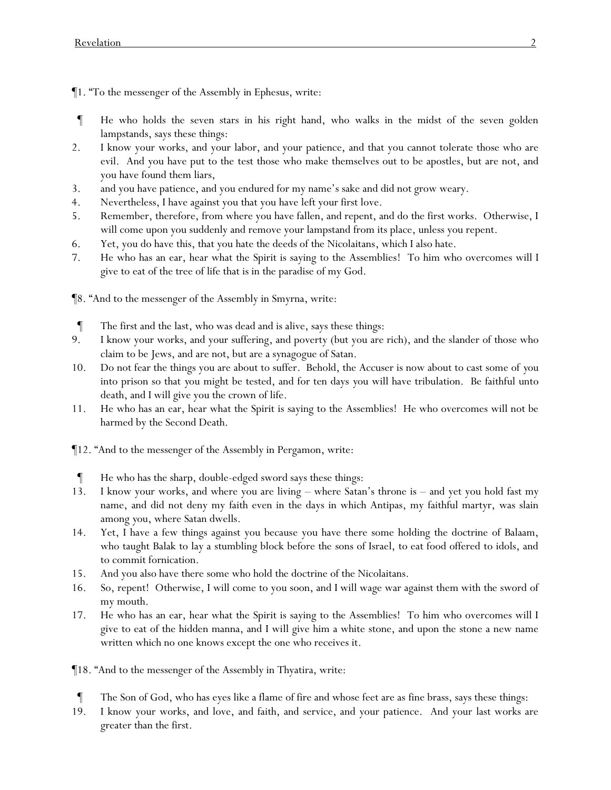¶1. "To the messenger of the Assembly in Ephesus, write:

- ¶ He who holds the seven stars in his right hand, who walks in the midst of the seven golden lampstands, says these things:
- 2. I know your works, and your labor, and your patience, and that you cannot tolerate those who are evil. And you have put to the test those who make themselves out to be apostles, but are not, and you have found them liars,
- 3. and you have patience, and you endured for my name's sake and did not grow weary.
- 4. Nevertheless, I have against you that you have left your first love.
- 5. Remember, therefore, from where you have fallen, and repent, and do the first works. Otherwise, I will come upon you suddenly and remove your lampstand from its place, unless you repent.
- 6. Yet, you do have this, that you hate the deeds of the Nicolaitans, which I also hate.
- 7. He who has an ear, hear what the Spirit is saying to the Assemblies! To him who overcomes will I give to eat of the tree of life that is in the paradise of my God.

¶8. "And to the messenger of the Assembly in Smyrna, write:

- ¶ The first and the last, who was dead and is alive, says these things:
- 9. I know your works, and your suffering, and poverty (but you are rich), and the slander of those who claim to be Jews, and are not, but are a synagogue of Satan.
- 10. Do not fear the things you are about to suffer. Behold, the Accuser is now about to cast some of *y*ou into prison so that *y*ou might be tested, and for ten days *y*ou will have tribulation. Be faithful unto death, and I will give you the crown of life.
- 11. He who has an ear, hear what the Spirit is saying to the Assemblies! He who overcomes will not be harmed by the Second Death.
- ¶12. "And to the messenger of the Assembly in Pergamon, write:
- He who has the sharp, double-edged sword says these things:
- 13. I know your works, and where you are living where Satan's throne is and yet you hold fast my name, and did not deny my faith even in the days in which Antipas, my faithful martyr, was slain among *y*ou, where Satan dwells.
- 14. Yet, I have a few things against you because you have there some holding the doctrine of Balaam, who taught Balak to lay a stumbling block before the sons of Israel, to eat food offered to idols, and to commit fornication.
- 15. And you also have there some who hold the doctrine of the Nicolaitans.
- 16. So, repent! Otherwise, I will come to you soon, and I will wage war against them with the sword of my mouth.
- 17. He who has an ear, hear what the Spirit is saying to the Assemblies! To him who overcomes will I give to eat of the hidden manna, and I will give him a white stone, and upon the stone a new name written which no one knows except the one who receives it.

¶18. "And to the messenger of the Assembly in Thyatira, write:

- ¶ The Son of God, who has eyes like a flame of fire and whose feet are as fine brass, says these things:
- 19. I know your works, and love, and faith, and service, and your patience. And your last works are greater than the first.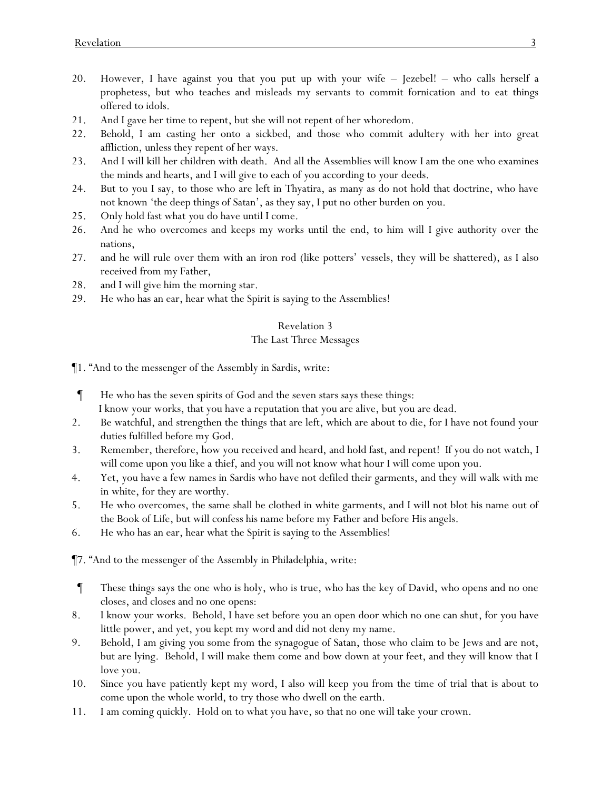- 20. However, I have against you that you put up with your wife Jezebel! who calls herself a prophetess, but who teaches and misleads my servants to commit fornication and to eat things offered to idols.
- 21. And I gave her time to repent, but she will not repent of her whoredom.
- 22. Behold, I am casting her onto a sickbed, and those who commit adultery with her into great affliction, unless they repent of her ways.
- 23. And I will kill her children with death. And all the Assemblies will know I am the one who examines the minds and hearts, and I will give to each of *y*ou according to *y*our deeds.
- 24. But to *y*ou I say, to those who are left in Thyatira, as many as do not hold that doctrine, who have not known 'the deep things of Satan', as they say, I put no other burden on *y*ou.
- 25. Only hold fast what *y*ou do have until I come.
- 26. And he who overcomes and keeps my works until the end, to him will I give authority over the nations,
- 27. and he will rule over them with an iron rod (like potters' vessels, they will be shattered), as I also received from my Father,
- 28. and I will give him the morning star.
- 29. He who has an ear, hear what the Spirit is saying to the Assemblies!

## The Last Three Messages

¶1. "And to the messenger of the Assembly in Sardis, write:

- ¶ He who has the seven spirits of God and the seven stars says these things: I know your works, that you have a reputation that you are alive, but you are dead.
- 2. Be watchful, and strengthen the things that are left, which are about to die, for I have not found your duties fulfilled before my God.
- 3. Remember, therefore, how you received and heard, and hold fast, and repent! If you do not watch, I will come upon you like a thief, and you will not know what hour I will come upon you.
- 4. Yet, you have a few names in Sardis who have not defiled their garments, and they will walk with me in white, for they are worthy.
- 5. He who overcomes, the same shall be clothed in white garments, and I will not blot his name out of the Book of Life, but will confess his name before my Father and before His angels.
- 6. He who has an ear, hear what the Spirit is saying to the Assemblies!

¶7. "And to the messenger of the Assembly in Philadelphia, write:

- ¶ These things says the one who is holy, who is true, who has the key of David, who opens and no one closes, and closes and no one opens:
- 8. I know your works. Behold, I have set before you an open door which no one can shut, for you have little power, and yet, you kept my word and did not deny my name.
- 9. Behold, I am giving *you* some from the synagogue of Satan, those who claim to be Jews and are not, but are lying. Behold, I will make them come and bow down at your feet, and they will know that I love you.
- 10. Since you have patiently kept my word, I also will keep you from the time of trial that is about to come upon the whole world, to try those who dwell on the earth.
- 11. I am coming quickly. Hold on to what you have, so that no one will take your crown.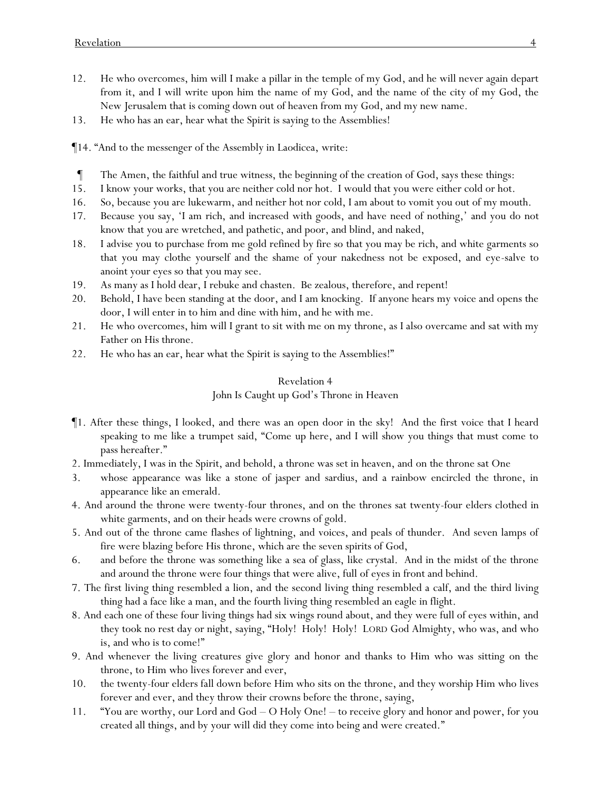- 12. He who overcomes, him will I make a pillar in the temple of my God, and he will never again depart from it, and I will write upon him the name of my God, and the name of the city of my God, the New Jerusalem that is coming down out of heaven from my God, and my new name.
- 13. He who has an ear, hear what the Spirit is saying to the Assemblies!
- ¶14. "And to the messenger of the Assembly in Laodicea, write:
- ¶ The Amen, the faithful and true witness, the beginning of the creation of God, says these things:
- 15. I know your works, that you are neither cold nor hot. I would that you were either cold or hot.
- 16. So, because you are lukewarm, and neither hot nor cold, I am about to vomit you out of my mouth.
- 17. Because you say, 'I am rich, and increased with goods, and have need of nothing,' and you do not know that you are wretched, and pathetic, and poor, and blind, and naked,
- 18. I advise you to purchase from me gold refined by fire so that you may be rich, and white garments so that you may clothe yourself and the shame of your nakedness not be exposed, and eye-salve to anoint your eyes so that you may see.
- 19. As many as I hold dear, I rebuke and chasten. Be zealous, therefore, and repent!
- 20. Behold, I have been standing at the door, and I am knocking. If anyone hears my voice and opens the door, I will enter in to him and dine with him, and he with me.
- 21. He who overcomes, him will I grant to sit with me on my throne, as I also overcame and sat with my Father on His throne.
- 22. He who has an ear, hear what the Spirit is saying to the Assemblies!"

# John Is Caught up God's Throne in Heaven

- ¶1. After these things, I looked, and there was an open door in the sky! And the first voice that I heard speaking to me like a trumpet said, "Come up here, and I will show you things that must come to pass hereafter."
- 2. Immediately, I was in the Spirit, and behold, a throne was set in heaven, and on the throne sat One
- 3. whose appearance was like a stone of jasper and sardius, and a rainbow encircled the throne, in appearance like an emerald.
- 4. And around the throne were twenty-four thrones, and on the thrones sat twenty-four elders clothed in white garments, and on their heads were crowns of gold.
- 5. And out of the throne came flashes of lightning, and voices, and peals of thunder. And seven lamps of fire were blazing before His throne, which are the seven spirits of God,
- 6. and before the throne was something like a sea of glass, like crystal. And in the midst of the throne and around the throne were four things that were alive, full of eyes in front and behind.
- 7. The first living thing resembled a lion, and the second living thing resembled a calf, and the third living thing had a face like a man, and the fourth living thing resembled an eagle in flight.
- 8. And each one of these four living things had six wings round about, and they were full of eyes within, and they took no rest day or night, saying, "Holy! Holy! Holy! LORD God Almighty, who was, and who is, and who is to come!"
- 9. And whenever the living creatures give glory and honor and thanks to Him who was sitting on the throne, to Him who lives forever and ever,
- 10. the twenty-four elders fall down before Him who sits on the throne, and they worship Him who lives forever and ever, and they throw their crowns before the throne, saying,
- 11. "You are worthy, our Lord and God O Holy One! to receive glory and honor and power, for you created all things, and by your will did they come into being and were created."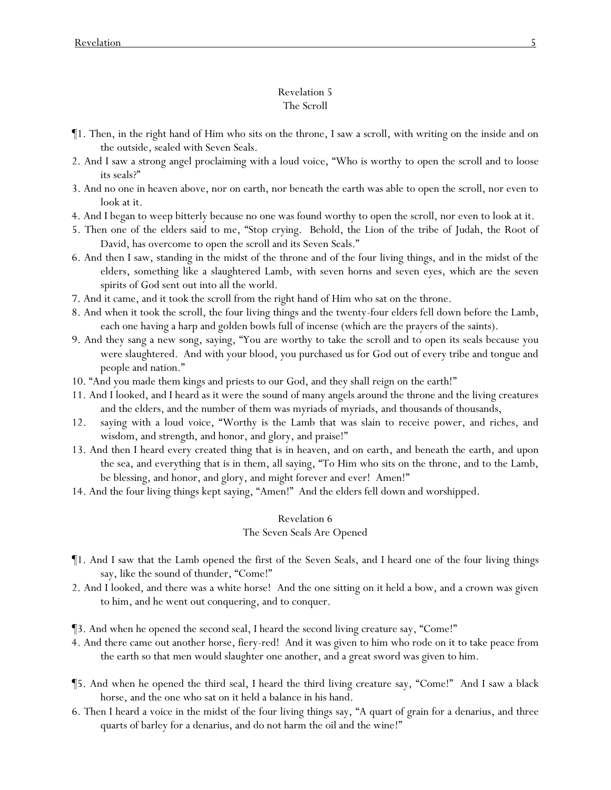## Revelation 5 The Scroll

- ¶1. Then, in the right hand of Him who sits on the throne, I saw a scroll, with writing on the inside and on the outside, sealed with Seven Seals.
- 2. And I saw a strong angel proclaiming with a loud voice, "Who is worthy to open the scroll and to loose its seals?"
- 3. And no one in heaven above, nor on earth, nor beneath the earth was able to open the scroll, nor even to look at it.
- 4. And I began to weep bitterly because no one was found worthy to open the scroll, nor even to look at it.
- 5. Then one of the elders said to me, "Stop crying. Behold, the Lion of the tribe of Judah, the Root of David, has overcome to open the scroll and its Seven Seals."
- 6. And then I saw, standing in the midst of the throne and of the four living things, and in the midst of the elders, something like a slaughtered Lamb, with seven horns and seven eyes, which are the seven spirits of God sent out into all the world.
- 7. And it came, and it took the scroll from the right hand of Him who sat on the throne.
- 8. And when it took the scroll, the four living things and the twenty-four elders fell down before the Lamb, each one having a harp and golden bowls full of incense (which are the prayers of the saints).
- 9. And they sang a new song, saying, "You are worthy to take the scroll and to open its seals because you were slaughtered. And with your blood, you purchased us for God out of every tribe and tongue and people and nation."
- 10. "And you made them kings and priests to our God, and they shall reign on the earth!"
- 11. And I looked, and I heard as it were the sound of many angels around the throne and the living creatures and the elders, and the number of them was myriads of myriads, and thousands of thousands,
- 12. saying with a loud voice, "Worthy is the Lamb that was slain to receive power, and riches, and wisdom, and strength, and honor, and glory, and praise!"
- 13. And then I heard every created thing that is in heaven, and on earth, and beneath the earth, and upon the sea, and everything that is in them, all saying, "To Him who sits on the throne, and to the Lamb, be blessing, and honor, and glory, and might forever and ever! Amen!"
- 14. And the four living things kept saying, "Amen!" And the elders fell down and worshipped.

#### Revelation 6

#### The Seven Seals Are Opened

- ¶1. And I saw that the Lamb opened the first of the Seven Seals, and I heard one of the four living things say, like the sound of thunder, "Come!"
- 2. And I looked, and there was a white horse! And the one sitting on it held a bow, and a crown was given to him, and he went out conquering, and to conquer.
- ¶3. And when he opened the second seal, I heard the second living creature say, "Come!"
- 4. And there came out another horse, fiery-red! And it was given to him who rode on it to take peace from the earth so that men would slaughter one another, and a great sword was given to him.
- ¶5. And when he opened the third seal, I heard the third living creature say, "Come!" And I saw a black horse, and the one who sat on it held a balance in his hand.
- 6. Then I heard a voice in the midst of the four living things say, "A quart of grain for a denarius, and three quarts of barley for a denarius, and do not harm the oil and the wine!"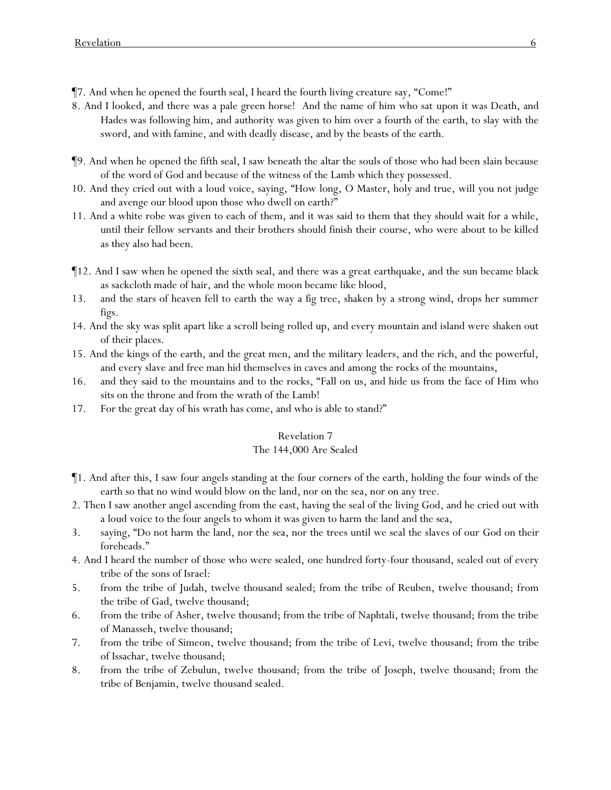- ¶7. And when he opened the fourth seal, I heard the fourth living creature say, "Come!"
- 8. And I looked, and there was a pale green horse! And the name of him who sat upon it was Death, and Hades was following him, and authority was given to him over a fourth of the earth, to slay with the sword, and with famine, and with deadly disease, and by the beasts of the earth.
- ¶9. And when he opened the fifth seal, I saw beneath the altar the souls of those who had been slain because of the word of God and because of the witness of the Lamb which they possessed.
- 10. And they cried out with a loud voice, saying, "How long, O Master, holy and true, will you not judge and avenge our blood upon those who dwell on earth?"
- 11. And a white robe was given to each of them, and it was said to them that they should wait for a while, until their fellow servants and their brothers should finish their course, who were about to be killed as they also had been.
- ¶12. And I saw when he opened the sixth seal, and there was a great earthquake, and the sun became black as sackcloth made of hair, and the whole moon became like blood,
- 13. and the stars of heaven fell to earth the way a fig tree, shaken by a strong wind, drops her summer figs.
- 14. And the sky was split apart like a scroll being rolled up, and every mountain and island were shaken out of their places.
- 15. And the kings of the earth, and the great men, and the military leaders, and the rich, and the powerful, and every slave and free man hid themselves in caves and among the rocks of the mountains,
- 16. and they said to the mountains and to the rocks, "Fall on us, and hide us from the face of Him who sits on the throne and from the wrath of the Lamb!
- 17. For the great day of his wrath has come, and who is able to stand?"

#### The 144,000 Are Sealed

- ¶1. And after this, I saw four angels standing at the four corners of the earth, holding the four winds of the earth so that no wind would blow on the land, nor on the sea, nor on any tree.
- 2. Then I saw another angel ascending from the east, having the seal of the living God, and he cried out with a loud voice to the four angels to whom it was given to harm the land and the sea,
- 3. saying, "Do not harm the land, nor the sea, nor the trees until we seal the slaves of our God on their foreheads."
- 4. And I heard the number of those who were sealed, one hundred forty-four thousand, sealed out of every tribe of the sons of Israel:
- 5. from the tribe of Judah, twelve thousand sealed; from the tribe of Reuben, twelve thousand; from the tribe of Gad, twelve thousand;
- 6. from the tribe of Asher, twelve thousand; from the tribe of Naphtali, twelve thousand; from the tribe of Manasseh, twelve thousand;
- 7. from the tribe of Simeon, twelve thousand; from the tribe of Levi, twelve thousand; from the tribe of Issachar, twelve thousand;
- 8. from the tribe of Zebulun, twelve thousand; from the tribe of Joseph, twelve thousand; from the tribe of Benjamin, twelve thousand sealed.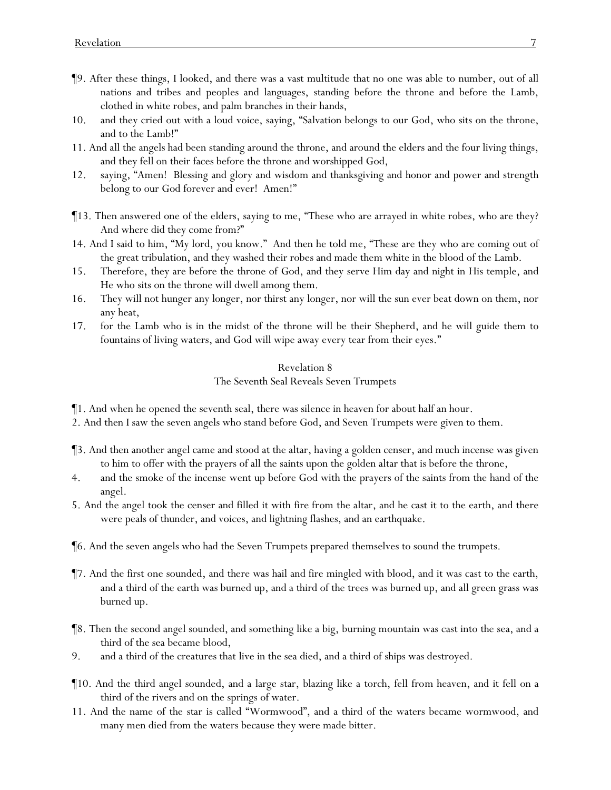- ¶9. After these things, I looked, and there was a vast multitude that no one was able to number, out of all nations and tribes and peoples and languages, standing before the throne and before the Lamb, clothed in white robes, and palm branches in their hands,
- 10. and they cried out with a loud voice, saying, "Salvation belongs to our God, who sits on the throne, and to the Lamb!"
- 11. And all the angels had been standing around the throne, and around the elders and the four living things, and they fell on their faces before the throne and worshipped God,
- 12. saying, "Amen! Blessing and glory and wisdom and thanksgiving and honor and power and strength belong to our God forever and ever! Amen!"
- ¶13. Then answered one of the elders, saying to me, "These who are arrayed in white robes, who are they? And where did they come from?"
- 14. And I said to him, "My lord, you know." And then he told me, "These are they who are coming out of the great tribulation, and they washed their robes and made them white in the blood of the Lamb.
- 15. Therefore, they are before the throne of God, and they serve Him day and night in His temple, and He who sits on the throne will dwell among them.
- 16. They will not hunger any longer, nor thirst any longer, nor will the sun ever beat down on them, nor any heat,
- 17. for the Lamb who is in the midst of the throne will be their Shepherd, and he will guide them to fountains of living waters, and God will wipe away every tear from their eyes."

## Revelation 8 The Seventh Seal Reveals Seven Trumpets

¶1. And when he opened the seventh seal, there was silence in heaven for about half an hour.

- 2. And then I saw the seven angels who stand before God, and Seven Trumpets were given to them.
- ¶3. And then another angel came and stood at the altar, having a golden censer, and much incense was given to him to offer with the prayers of all the saints upon the golden altar that is before the throne,
- 4. and the smoke of the incense went up before God with the prayers of the saints from the hand of the angel.
- 5. And the angel took the censer and filled it with fire from the altar, and he cast it to the earth, and there were peals of thunder, and voices, and lightning flashes, and an earthquake.
- ¶6. And the seven angels who had the Seven Trumpets prepared themselves to sound the trumpets.
- ¶7. And the first one sounded, and there was hail and fire mingled with blood, and it was cast to the earth, and a third of the earth was burned up, and a third of the trees was burned up, and all green grass was burned up.
- ¶8. Then the second angel sounded, and something like a big, burning mountain was cast into the sea, and a third of the sea became blood,
- 9. and a third of the creatures that live in the sea died, and a third of ships was destroyed.
- ¶10. And the third angel sounded, and a large star, blazing like a torch, fell from heaven, and it fell on a third of the rivers and on the springs of water.
- 11. And the name of the star is called "Wormwood", and a third of the waters became wormwood, and many men died from the waters because they were made bitter.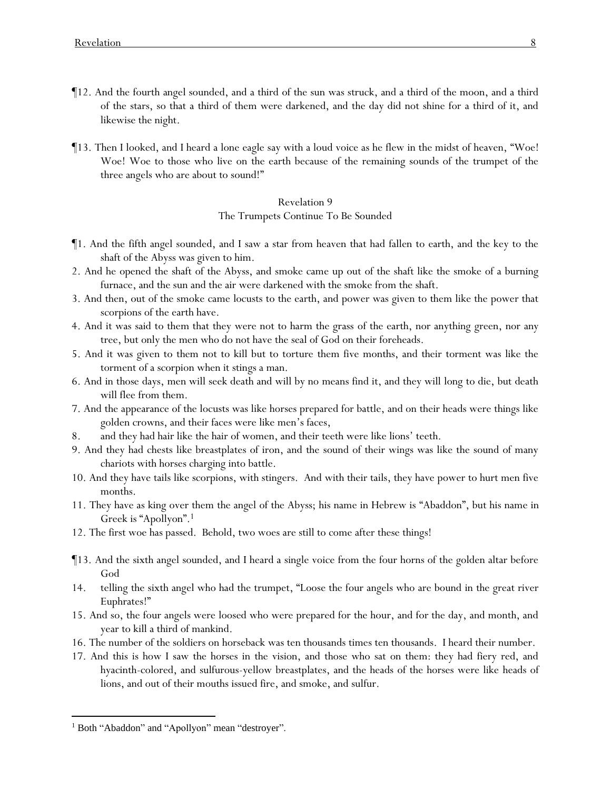- ¶12. And the fourth angel sounded, and a third of the sun was struck, and a third of the moon, and a third of the stars, so that a third of them were darkened, and the day did not shine for a third of it, and likewise the night.
- ¶13. Then I looked, and I heard a lone eagle say with a loud voice as he flew in the midst of heaven, "Woe! Woe! Woe to those who live on the earth because of the remaining sounds of the trumpet of the three angels who are about to sound!"

The Trumpets Continue To Be Sounded

- ¶1. And the fifth angel sounded, and I saw a star from heaven that had fallen to earth, and the key to the shaft of the Abyss was given to him.
- 2. And he opened the shaft of the Abyss, and smoke came up out of the shaft like the smoke of a burning furnace, and the sun and the air were darkened with the smoke from the shaft.
- 3. And then, out of the smoke came locusts to the earth, and power was given to them like the power that scorpions of the earth have.
- 4. And it was said to them that they were not to harm the grass of the earth, nor anything green, nor any tree, but only the men who do not have the seal of God on their foreheads.
- 5. And it was given to them not to kill but to torture them five months, and their torment was like the torment of a scorpion when it stings a man.
- 6. And in those days, men will seek death and will by no means find it, and they will long to die, but death will flee from them.
- 7. And the appearance of the locusts was like horses prepared for battle, and on their heads were things like golden crowns, and their faces were like men's faces,
- 8. and they had hair like the hair of women, and their teeth were like lions' teeth.
- 9. And they had chests like breastplates of iron, and the sound of their wings was like the sound of many chariots with horses charging into battle.
- 10. And they have tails like scorpions, with stingers. And with their tails, they have power to hurt men five months.
- 11. They have as king over them the angel of the Abyss; his name in Hebrew is "Abaddon", but his name in Greek is "Apollyon".<sup>1</sup>
- 12. The first woe has passed. Behold, two woes are still to come after these things!
- ¶13. And the sixth angel sounded, and I heard a single voice from the four horns of the golden altar before God
- 14. telling the sixth angel who had the trumpet, "Loose the four angels who are bound in the great river Euphrates!"
- 15. And so, the four angels were loosed who were prepared for the hour, and for the day, and month, and year to kill a third of mankind.
- 16. The number of the soldiers on horseback was ten thousands times ten thousands. I heard their number.
- 17. And this is how I saw the horses in the vision, and those who sat on them: they had fiery red, and hyacinth-colored, and sulfurous-yellow breastplates, and the heads of the horses were like heads of lions, and out of their mouths issued fire, and smoke, and sulfur.

<sup>&</sup>lt;sup>1</sup> Both "Abaddon" and "Apollyon" mean "destroyer".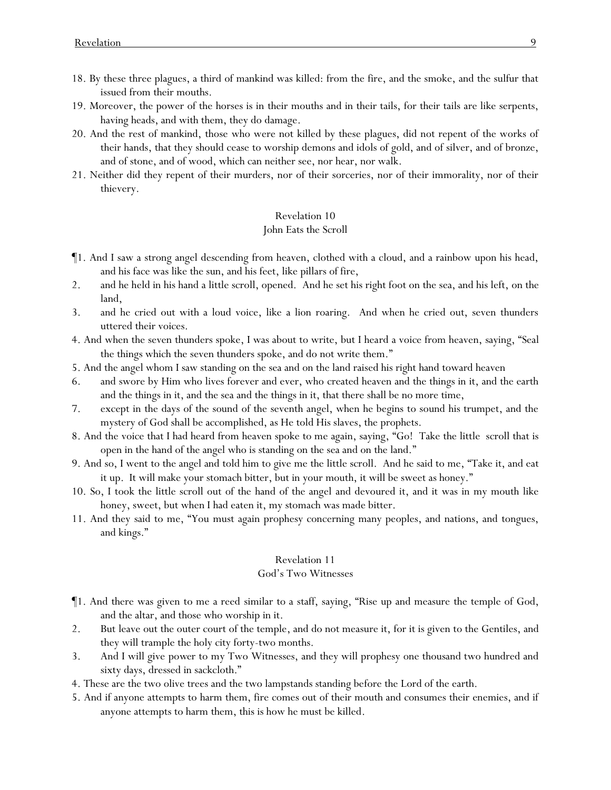- 18. By these three plagues, a third of mankind was killed: from the fire, and the smoke, and the sulfur that issued from their mouths.
- 19. Moreover, the power of the horses is in their mouths and in their tails, for their tails are like serpents, having heads, and with them, they do damage.
- 20. And the rest of mankind, those who were not killed by these plagues, did not repent of the works of their hands, that they should cease to worship demons and idols of gold, and of silver, and of bronze, and of stone, and of wood, which can neither see, nor hear, nor walk.
- 21. Neither did they repent of their murders, nor of their sorceries, nor of their immorality, nor of their thievery.

#### John Eats the Scroll

- ¶1. And I saw a strong angel descending from heaven, clothed with a cloud, and a rainbow upon his head, and his face was like the sun, and his feet, like pillars of fire,
- 2. and he held in his hand a little scroll, opened. And he set his right foot on the sea, and his left, on the land,
- 3. and he cried out with a loud voice, like a lion roaring. And when he cried out, seven thunders uttered their voices.
- 4. And when the seven thunders spoke, I was about to write, but I heard a voice from heaven, saying, "Seal the things which the seven thunders spoke, and do not write them."
- 5. And the angel whom I saw standing on the sea and on the land raised his right hand toward heaven
- 6. and swore by Him who lives forever and ever, who created heaven and the things in it, and the earth and the things in it, and the sea and the things in it, that there shall be no more time,
- 7. except in the days of the sound of the seventh angel, when he begins to sound his trumpet, and the mystery of God shall be accomplished, as He told His slaves, the prophets.
- 8. And the voice that I had heard from heaven spoke to me again, saying, "Go! Take the little scroll that is open in the hand of the angel who is standing on the sea and on the land."
- 9. And so, I went to the angel and told him to give me the little scroll. And he said to me, "Take it, and eat it up. It will make your stomach bitter, but in your mouth, it will be sweet as honey."
- 10. So, I took the little scroll out of the hand of the angel and devoured it, and it was in my mouth like honey, sweet, but when I had eaten it, my stomach was made bitter.
- 11. And they said to me, "You must again prophesy concerning many peoples, and nations, and tongues, and kings."

# Revelation 11

#### God's Two Witnesses

- ¶1. And there was given to me a reed similar to a staff, saying, "Rise up and measure the temple of God, and the altar, and those who worship in it.
- 2. But leave out the outer court of the temple, and do not measure it, for it is given to the Gentiles, and they will trample the holy city forty-two months.
- 3. And I will give *power* to my Two Witnesses, and they will prophesy one thousand two hundred and sixty days, dressed in sackcloth."
- 4. These are the two olive trees and the two lampstands standing before the Lord of the earth.
- 5. And if anyone attempts to harm them, fire comes out of their mouth and consumes their enemies, and if anyone attempts to harm them, this is how he must be killed.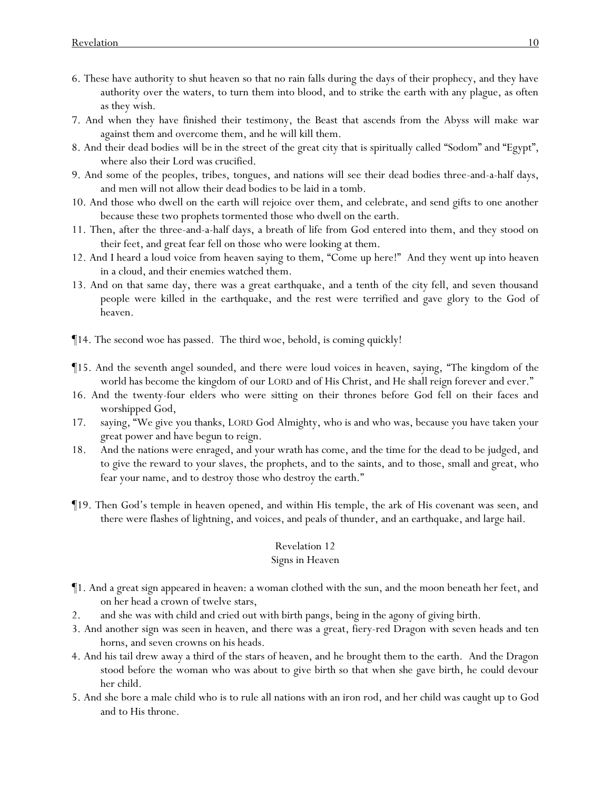- 6. These have authority to shut heaven so that no rain falls during the days of their prophecy, and they have authority over the waters, to turn them into blood, and to strike the earth with any plague, as often as they wish.
- 7. And when they have finished their testimony, the Beast that ascends from the Abyss will make war against them and overcome them, and he will kill them.
- 8. And their dead bodies *will be* in the street of the great city that is spiritually called "Sodom" and "Egypt", where also their Lord was crucified.
- 9. And some of the peoples, tribes, tongues, and nations will see their dead bodies three-and-a-half days, and men will not allow their dead bodies to be laid in a tomb.
- 10. And those who dwell on the earth will rejoice over them, and celebrate, and send gifts to one another because these two prophets tormented those who dwell on the earth.
- 11. Then, after the three-and-a-half days, a breath of life from God entered into them, and they stood on their feet, and great fear fell on those who were looking at them.
- 12. And I heard a loud voice from heaven saying to them, "Come up here!" And they went up into heaven in a cloud, and their enemies watched them.
- 13. And on that same day, there was a great earthquake, and a tenth of the city fell, and seven thousand people were killed in the earthquake, and the rest were terrified and gave glory to the God of heaven.
- ¶14. The second woe has passed. The third woe, behold, is coming quickly!
- ¶15. And the seventh angel sounded, and there were loud voices in heaven, saying, "The kingdom of the world has become the kingdom of our LORD and of His Christ, and He shall reign forever and ever."
- 16. And the twenty-four elders who were sitting on their thrones before God fell on their faces and worshipped God,
- 17. saying, "We give you thanks, LORD God Almighty, who is and who was, because you have taken your great power and have begun to reign.
- 18. And the nations were enraged, and your wrath has come, and the time for the dead to be judged, and to give the reward to your slaves, the prophets, and to the saints, and to those, small and great, who fear your name, and to destroy those who destroy the earth."
- ¶19. Then God's temple in heaven opened, and within His temple, the ark of His covenant was seen, and there were flashes of lightning, and voices, and peals of thunder, and an earthquake, and large hail.

#### Signs in Heaven

- ¶1. And a great sign appeared in heaven: a woman clothed with the sun, and the moon beneath her feet, and on her head a crown of twelve stars,
- 2. and she was with child and cried out with birth pangs, being in the agony of giving birth.
- 3. And another sign was seen in heaven, and there was a great, fiery-red Dragon with seven heads and ten horns, and seven crowns on his heads.
- 4. And his tail drew away a third of the stars of heaven, and he brought them to the earth. And the Dragon stood before the woman who was about to give birth so that when she gave birth, he could devour her child.
- 5. And she bore a male child who is to rule all nations with an iron rod, and her child was caught up to God and to His throne.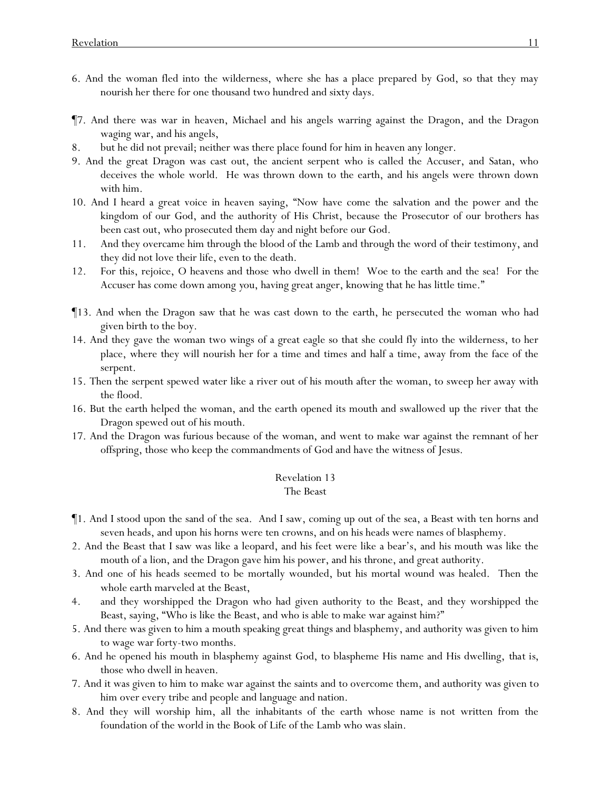- 6. And the woman fled into the wilderness, where she has a place prepared by God, so that they may nourish her there for one thousand two hundred and sixty days.
- ¶7. And there was war in heaven, Michael and his angels warring against the Dragon, and the Dragon waging war, and his angels,
- 8. but he did not prevail; neither was there place found for him in heaven any longer.
- 9. And the great Dragon was cast out, the ancient serpent who is called the Accuser, and Satan, who deceives the whole world. He was thrown down to the earth, and his angels were thrown down with him.
- 10. And I heard a great voice in heaven saying, "Now have come the salvation and the power and the kingdom of our God, and the authority of His Christ, because the Prosecutor of our brothers has been cast out, who prosecuted them day and night before our God.
- 11. And they overcame him through the blood of the Lamb and through the word of their testimony, and they did not love their life, even to the death.
- 12. For this, rejoice, O heavens and those who dwell in them! Woe to the earth and the sea! For the Accuser has come down among *y*ou, having great anger, knowing that he has little time."
- ¶13. And when the Dragon saw that he was cast down to the earth, he persecuted the woman who had given birth to the boy.
- 14. And they gave the woman two wings of a great eagle so that she could fly into the wilderness, to her place, where they will nourish her for a time and times and half a time, away from the face of the serpent.
- 15. Then the serpent spewed water like a river out of his mouth after the woman, to sweep her away with the flood.
- 16. But the earth helped the woman, and the earth opened its mouth and swallowed up the river that the Dragon spewed out of his mouth.
- 17. And the Dragon was furious because of the woman, and went to make war against the remnant of her offspring, those who keep the commandments of God and have the witness of Jesus.

## The Beast

- ¶1. And I stood upon the sand of the sea. And I saw, coming up out of the sea, a Beast with ten horns and seven heads, and upon his horns were ten crowns, and on his heads were names of blasphemy.
- 2. And the Beast that I saw was like a leopard, and his feet were like a bear's, and his mouth was like the mouth of a lion, and the Dragon gave him his power, and his throne, and great authority.
- 3. And one of his heads seemed to be mortally wounded, but his mortal wound was healed. Then the whole earth marveled at the Beast,
- 4. and they worshipped the Dragon who had given authority to the Beast, and they worshipped the Beast, saying, "Who is like the Beast, and who is able to make war against him?"
- 5. And there was given to him a mouth speaking great things and blasphemy, and authority was given to him to wage war forty-two months.
- 6. And he opened his mouth in blasphemy against God, to blaspheme His name and His dwelling, *that is,* those who dwell in heaven.
- 7. And it was given to him to make war against the saints and to overcome them, and authority was given to him over every tribe and people and language and nation.
- 8. And they will worship him, all the inhabitants of the earth whose name is not written from the foundation of the world in the Book of Life of the Lamb who was slain.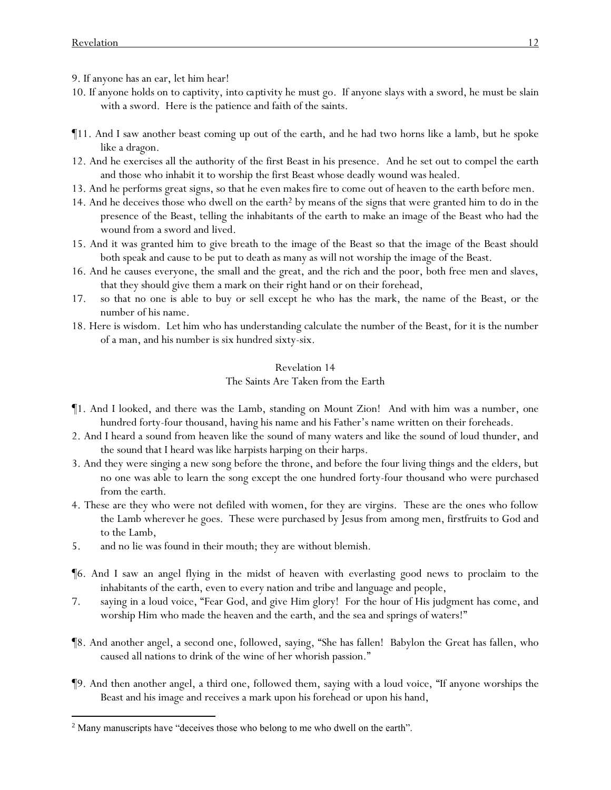9. If anyone has an ear, let him hear!

- 10. If anyone holds on to captivity, *into captivity* he must go. If anyone slays with a sword, he must be slain with a sword. Here is the patience and faith of the saints.
- ¶11. And I saw another beast coming up out of the earth, and he had two horns like a lamb, but he spoke like a dragon.
- 12. And he exercises all the authority of the first Beast in his presence. And he set out to compel the earth and those who inhabit it to worship the first Beast whose deadly wound was healed.
- 13. And he performs great signs, so that he even makes fire to come out of heaven to the earth before men.
- 14. And he deceives those who dwell on the earth<sup>2</sup> by means of the signs that were granted him to do in the presence of the Beast, telling the inhabitants of the earth to make an image of the Beast who had the wound from a sword and lived.
- 15. And it was granted him to give breath to the image of the Beast so that the image of the Beast should both speak and cause to be put to death as many as will not worship the image of the Beast.
- 16. And he causes everyone, the small and the great, and the rich and the poor, both free men and slaves, that they should give them a mark on their right hand or on their forehead,
- 17. so that no one is able to buy or sell except he who has the mark, the name of the Beast, or the number of his name.
- 18. Here is wisdom. Let him who has understanding calculate the number of the Beast, for it is the number of a man, and his number is six hundred sixty-six.

## Revelation 14 The Saints Are Taken from the Earth

- ¶1. And I looked, and there was the Lamb, standing on Mount Zion! And with him was a number, one hundred forty-four thousand, having his name and his Father's name written on their foreheads.
- 2. And I heard a sound from heaven like the sound of many waters and like the sound of loud thunder, and the sound that I heard was like harpists harping on their harps.
- 3. And they were singing a new song before the throne, and before the four living things and the elders, but no one was able to learn the song except the one hundred forty-four thousand who were purchased from the earth.
- 4. These are they who were not defiled with women, for they are virgins. These are the ones who follow the Lamb wherever he goes. These were purchased by Jesus from among men, firstfruits to God and to the Lamb,
- 5. and no lie was found in their mouth; they are without blemish.
- ¶6. And I saw an angel flying in the midst of heaven with everlasting good news to proclaim to the inhabitants of the earth, even to every nation and tribe and language and people,
- 7. saying in a loud voice, "Fear God, and give Him glory! For the hour of His judgment has come, and worship Him who made the heaven and the earth, and the sea and springs of waters!"
- ¶8. And another angel, a second one, followed, saying, "She has fallen! Babylon the Great has fallen, who caused all nations to drink of the wine of her whorish passion."
- ¶9. And then another angel, a third one, followed them, saying with a loud voice, "If anyone worships the Beast and his image and receives a mark upon his forehead or upon his hand,

<sup>&</sup>lt;sup>2</sup> Many manuscripts have "deceives those who belong to me who dwell on the earth".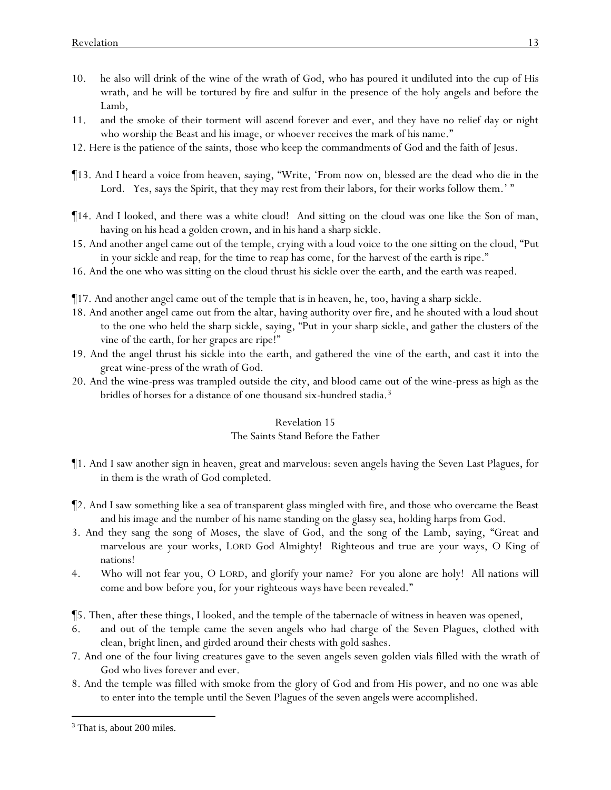- 10. he also will drink of the wine of the wrath of God, who has poured *it* undiluted into the cup of His wrath, and he will be tortured by fire and sulfur in the presence of the holy angels and before the Lamb,
- 11. and the smoke of their torment will ascend forever and ever, and they have no relief day or night who worship the Beast and his image, or whoever receives the mark of his name."
- 12. Here is the patience of the saints, those who keep the commandments of God and the faith of Jesus.
- ¶13. And I heard a voice from heaven, saying, "Write, 'From now on, blessed are the dead who die in the Lord. Yes, says the Spirit, that they may rest from their labors, for their works follow them.'"
- ¶14. And I looked, and there was a white cloud! And sitting on the cloud was one like the Son of man, having on his head a golden crown, and in his hand a sharp sickle.
- 15. And another angel came out of the temple, crying with a loud voice to the one sitting on the cloud, "Put in your sickle and reap, for the time to reap has come, for the harvest of the earth is ripe."
- 16. And the one who was sitting on the cloud thrust his sickle over the earth, and the earth was reaped.
- ¶17. And another angel came out of the temple that is in heaven, he, too, having a sharp sickle.
- 18. And another angel came out from the altar, having authority over fire, and he shouted with a loud shout to the one who held the sharp sickle, saying, "Put in your sharp sickle, and gather the clusters of the vine of the earth, for her grapes are ripe!"
- 19. And the angel thrust his sickle into the earth, and gathered the vine of the earth, and cast it into the great wine-press of the wrath of God.
- 20. And the wine-press was trampled outside the city, and blood came out of the wine-press as high as the bridles of horses for a distance of one thousand six-hundred stadia.<sup>3</sup>

## The Saints Stand Before the Father

- ¶1. And I saw another sign in heaven, great and marvelous: seven angels having the Seven Last Plagues, for in them is the wrath of God completed.
- ¶2. And I saw something like a sea of transparent glass mingled with fire, and those who overcame the Beast and his image and the number of his name standing on the glassy sea, holding harps from God.
- 3. And they sang the song of Moses, the slave of God, and the song of the Lamb, saying, "Great and marvelous are your works, LORD God Almighty! Righteous and true are your ways, O King of nations!
- 4. Who will not fear you, O LORD, and glorify your name? For *you* alone are holy! All nations will come and bow before you, for your righteous ways have been revealed."
- ¶5. Then, after these things, I looked, and the temple of the tabernacle of witness in heaven was opened,
- and out of the temple came the seven angels who had charge of the Seven Plagues, clothed with clean, bright linen, and girded around their chests with gold sashes.
- 7. And one of the four living creatures gave to the seven angels seven golden vials filled with the wrath of God who lives forever and ever.
- 8. And the temple was filled with smoke from the glory of God and from His power, and no one was able to enter into the temple until the Seven Plagues of the seven angels were accomplished.

<sup>&</sup>lt;sup>3</sup> That is, about 200 miles.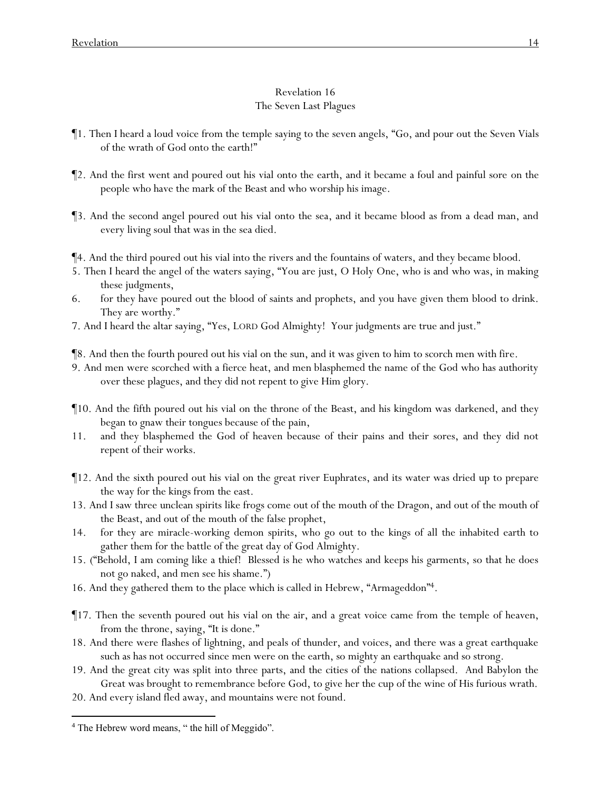# Revelation 16 The Seven Last Plagues

- ¶1. Then I heard a loud voice from the temple saying to the seven angels, "Go, and pour out the Seven Vials of the wrath of God onto the earth!"
- ¶2. And the first went and poured out his vial onto the earth, and it became a foul and painful sore on the people who have the mark of the Beast and who worship his image.
- ¶3. And the second angel poured out his vial onto the sea, and it became blood as from a dead man, and every living soul that was in the sea died.

¶4. And the third poured out his vial into the rivers and the fountains of waters, and they became blood.

- 5. Then I heard the angel of the waters saying, "You are just, O Holy One, who is and who was, in making these judgments,
- 6. for they have poured out the blood of saints and prophets, and you have given them blood to drink. They are worthy."
- 7. And I heard the altar saying, "Yes, LORD God Almighty! Your judgments are true and just."
- ¶8. And then the fourth poured out his vial on the sun, and it was given to him to scorch men with fire.
- 9. And men were scorched with a fierce heat, and men blasphemed the name of the God who has authority over these plagues, and they did not repent to give Him glory.
- ¶10. And the fifth poured out his vial on the throne of the Beast, and his kingdom was darkened, and they began to gnaw their tongues because of the pain,
- 11. and they blasphemed the God of heaven because of their pains and their sores, and they did not repent of their works.
- ¶12. And the sixth poured out his vial on the great river Euphrates, and its water was dried up to prepare the way for the kings from the east.
- 13. And I saw three unclean spirits like frogs come out of the mouth of the Dragon, and out of the mouth of the Beast, and out of the mouth of the false prophet,
- 14. for they are miracle-working demon spirits, who go out to the kings of all the inhabited earth to gather them for the battle of the great day of God Almighty.
- 15. ("Behold, I am coming like a thief! Blessed is he who watches and keeps his garments, so that he does not go naked, and men see his shame.")
- 16. And they gathered them to the place which is called in Hebrew, "Armageddon" 4.
- ¶17. Then the seventh poured out his vial on the air, and a great voice came from the temple of heaven, from the throne, saying, "It is done."
- 18. And there were flashes of lightning, and peals of thunder, and voices, and there was a great earthquake such as has not occurred since men were on the earth, so mighty an earthquake and so strong.
- 19. And the great city was split into three parts, and the cities of the nations collapsed. And Babylon the Great was brought to remembrance before God, to give her the cup of the wine of His furious wrath.
- 20. And every island fled away, and mountains were not found.

<sup>&</sup>lt;sup>4</sup> The Hebrew word means, " the hill of Meggido".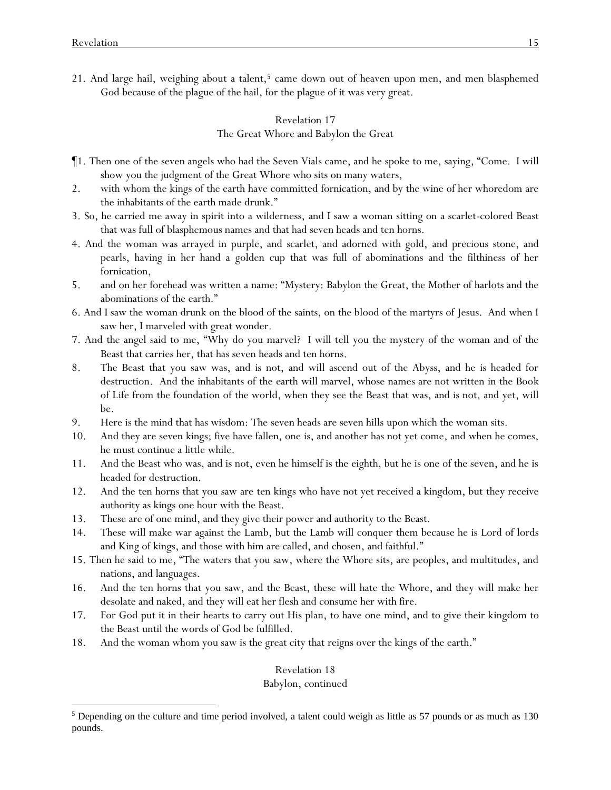21. And large hail, weighing about a talent,<sup>5</sup> came down out of heaven upon men, and men blasphemed God because of the plague of the hail, for the plague of it was very great.

## Revelation 17 The Great Whore and Babylon the Great

- ¶1. Then one of the seven angels who had the Seven Vials came, and he spoke to me, saying, "Come. I will show you the judgment of the Great Whore who sits on many waters,
- 2. with whom the kings of the earth have committed fornication, and by the wine of her whoredom are the inhabitants of the earth made drunk."
- 3. So, he carried me away in spirit into a wilderness, and I saw a woman sitting on a scarlet-colored Beast that was full of blasphemous names and that had seven heads and ten horns.
- 4. And the woman was arrayed in purple, and scarlet, and adorned with gold, and precious stone, and pearls, having in her hand a golden cup that was full of abominations and the filthiness of her fornication,
- 5. and on her forehead was written a name: "Mystery: Babylon the Great, the Mother of harlots and the abominations of the earth."
- 6. And I saw the woman drunk on the blood of the saints, on the blood of the martyrs of Jesus. And when I saw her, I marveled with great wonder.
- 7. And the angel said to me, "Why do you marvel? I will tell you the mystery of the woman and of the Beast that carries her, that has seven heads and ten horns.
- 8. The Beast that you saw was, and is not, and will ascend out of the Abyss, and he is headed for destruction. And the inhabitants of the earth will marvel, whose names are not written in the Book of Life from the foundation of the world, when they see the Beast that was, and is not, and yet, will be.
- 9. Here is the mind that has wisdom: The seven heads are seven hills upon which the woman sits.
- 10. And they are seven kings; five have fallen, one is, and another has not yet come, and when he comes, he must continue a little while.
- 11. And the Beast who was, and is not, even he himself is the eighth, but he is one of the seven, and he is headed for destruction.
- 12. And the ten horns that you saw are ten kings who have not yet received a kingdom, but they receive authority as kings one hour with the Beast.
- 13. These are of one mind, and they give their power and authority to the Beast.
- 14. These will make war against the Lamb, but the Lamb will conquer them because he is Lord of lords and King of kings, and those with him are called, and chosen, and faithful."
- 15. Then he said to me, "The waters that you saw, where the Whore sits, are peoples, and multitudes, and nations, and languages.
- 16. And the ten horns that you saw, and the Beast, these will hate the Whore, and they will make her desolate and naked, and they will eat her flesh and consume her with fire.
- 17. For God put it in their hearts to carry out His plan, to have one mind, and to give their kingdom to the Beast until the words of God be fulfilled.
- 18. And the woman whom you saw is the great city that reigns over the kings of the earth."

## Revelation 18

# Babylon, continued

<sup>5</sup> Depending on the culture and time period involved, a talent could weigh as little as 57 pounds or as much as 130 pounds.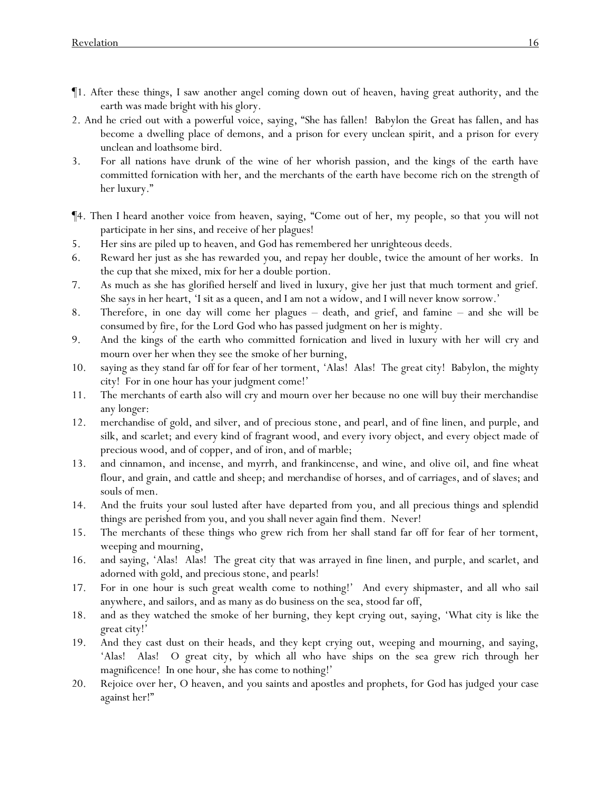- ¶1. After these things, I saw another angel coming down out of heaven, having great authority, and the earth was made bright with his glory.
- 2. And he cried out with a powerful voice, saying, "She has fallen! Babylon the Great has fallen, and has become a dwelling place of demons, and a prison for every unclean spirit, and a prison for every unclean and loathsome bird.
- 3. For all nations have drunk of the wine of her whorish passion, and the kings of the earth have committed fornication with her, and the merchants of the earth have become rich on the strength of her luxury."
- ¶4. Then I heard another voice from heaven, saying, "Come out of her, my people, so that *y*ou will not participate in her sins, and receive of her plagues!
- 5. Her sins are piled up to heaven, and God has remembered her unrighteous deeds.
- 6. Reward her just as she has rewarded *you*, and repay her double, twice the amount of her works. In the cup that she mixed, mix for her a double portion.
- 7. As much as she has glorified herself and lived in luxury, give her just that much torment and grief. She says in her heart, 'I sit as a queen, and I am not a widow, and I will never know sorrow.'
- 8. Therefore, in one day will come her plagues death, and grief, and famine and she will be consumed by fire, for the Lord God who has passed judgment on her is mighty.
- 9. And the kings of the earth who committed fornication and lived in luxury with her will cry and mourn over her when they see the smoke of her burning,
- 10. saying as they stand far off for fear of her torment, 'Alas! Alas! The great city! Babylon, the mighty city! For in one hour has your judgment come!'
- 11. The merchants of earth also will cry and mourn over her because no one will buy their merchandise any longer:
- 12. merchandise of gold, and silver, and of precious stone, and pearl, and of fine linen, and purple, and silk, and scarlet; and every kind of fragrant wood, and every ivory object, and every object made of precious wood, and of copper, and of iron, and of marble;
- 13. and cinnamon, and incense, and myrrh, and frankincense, and wine, and olive oil, and fine wheat flour, and grain, and cattle and sheep; and *merchandise* of horses, and of carriages, and of slaves; and souls of men.
- 14. And the fruits your soul lusted after have departed from you, and all precious things and splendid things are perished from you, and you shall never again find them. Never!
- 15. The merchants of these things who grew rich from her shall stand far off for fear of her torment, weeping and mourning,
- 16. and saying, 'Alas! Alas! The great city that was arrayed in fine linen, and purple, and scarlet, and adorned with gold, and precious stone, and pearls!
- 17. For in one hour is such great wealth come to nothing!' And every shipmaster, and all who sail anywhere, and sailors, and as many as do business on the sea, stood far off,
- 18. and as they watched the smoke of her burning, they kept crying out, saying, 'What city is like the great city!'
- 19. And they cast dust on their heads, and they kept crying out, weeping and mourning, and saying, 'Alas! Alas! O great city, by which all who have ships on the sea grew rich through her magnificence! In one hour, she has come to nothing!'
- 20. Rejoice over her, O heaven, and *y*ou saints and apostles and prophets, for God has judged *y*our case against her!"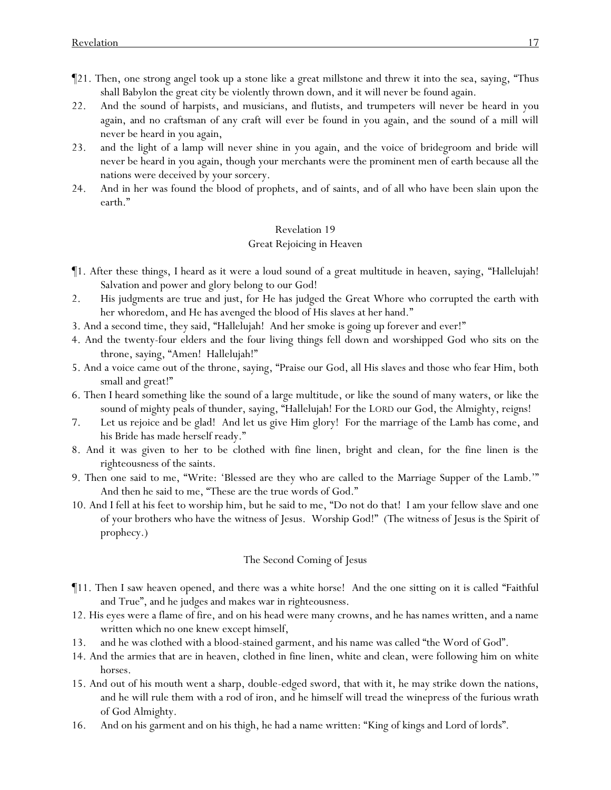- ¶21. Then, one strong angel took up a stone like a great millstone and threw it into the sea, saying, "Thus shall Babylon the great city be violently thrown down, and it will never be found again.
- 22. And the sound of harpists, and musicians, and flutists, and trumpeters will never be heard in you again, and no craftsman of any craft will ever be found in you again, and the sound of a mill will never be heard in you again,
- 23. and the light of a lamp will never shine in you again, and the voice of bridegroom and bride will never be heard in you again, though your merchants were the prominent men of earth because all the nations were deceived by your sorcery.
- 24. And in her was found the blood of prophets, and of saints, and of all who have been slain upon the earth."

# Great Rejoicing in Heaven

- ¶1. After these things, I heard as it were a loud sound of a great multitude in heaven, saying, "Hallelujah! Salvation and power and glory belong to our God!
- 2. His judgments are true and just, for He has judged the Great Whore who corrupted the earth with her whoredom, and He has avenged the blood of His slaves at her hand."
- 3. And a second time, they said, "Hallelujah! And her smoke is going up forever and ever!"
- 4. And the twenty-four elders and the four living things fell down and worshipped God who sits on the throne, saying, "Amen! Hallelujah!"
- 5. And a voice came out of the throne, saying, "Praise our God, all His slaves and those who fear Him, both small and great!"
- 6. Then I heard something like the sound of a large multitude, or like the sound of many waters, or like the sound of mighty peals of thunder, saying, "Hallelujah! For the LORD our God, the Almighty, reigns!
- 7. Let us rejoice and be glad! And let us give Him glory! For the marriage of the Lamb has come, and his Bride has made herself ready."
- 8. And it was given to her to be clothed with fine linen, bright and clean, for the fine linen is the righteousness of the saints.
- 9. Then one said to me, "Write: 'Blessed are they who are called to the Marriage Supper of the Lamb.'" And then he said to me, "These are the true words of God."
- 10. And I fell at his feet to worship him, but he said to me, "Do not do that! I am your fellow slave and one of your brothers who have the witness of Jesus. Worship God!" (The witness of Jesus is the Spirit of prophecy.)

# The Second Coming of Jesus

- ¶11. Then I saw heaven opened, and there was a white horse! And the one sitting on it is called "Faithful and True", and he judges and makes war in righteousness.
- 12. His eyes were a flame of fire, and on his head were many crowns, and he has names written, and a name written which no one knew except himself,
- 13. and he was clothed with a blood-stained garment, and his name was called "the Word of God".
- 14. And the armies that are in heaven, clothed in fine linen, white and clean, were following him on white horses.
- 15. And out of his mouth went a sharp, double-edged sword, that with it, he may strike down the nations, and he will rule them with a rod of iron, and he himself will tread the winepress of the furious wrath of God Almighty.
- 16. And on his garment and on his thigh, he had a name written: "King of kings and Lord of lords".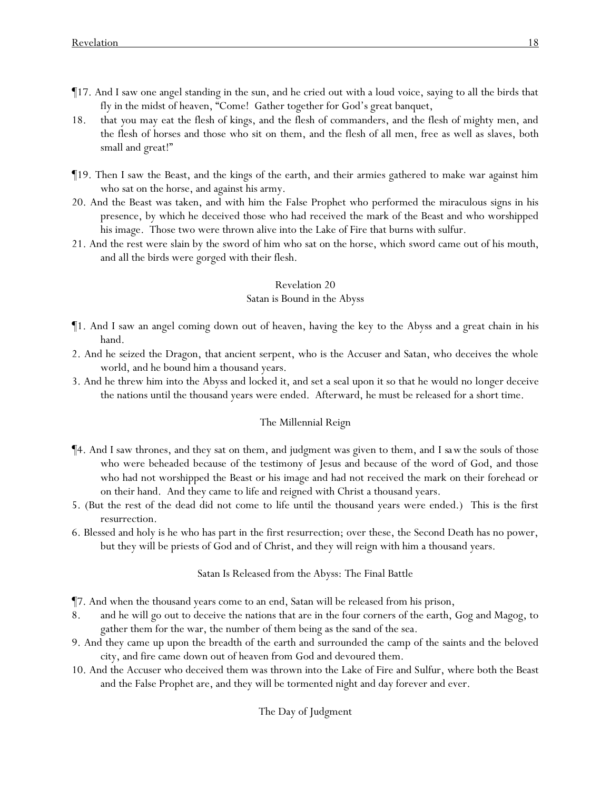- ¶17. And I saw one angel standing in the sun, and he cried out with a loud voice, saying to all the birds that fly in the midst of heaven, "Come! Gather together for God's great banquet,
- 18. that *y*ou may eat the flesh of kings, and the flesh of commanders, and the flesh of mighty men, and the flesh of horses and those who sit on them, and the flesh of all men, free as well as slaves, both small and great!"
- ¶19. Then I saw the Beast, and the kings of the earth, and their armies gathered to make war against him who sat on the horse, and against his army.
- 20. And the Beast was taken, and with him the False Prophet who performed the miraculous signs in his presence, by which he deceived those who had received the mark of the Beast and who worshipped his image. Those two were thrown alive into the Lake of Fire that burns with sulfur.
- 21. And the rest were slain by the sword of him who sat on the horse, which *sword* came out of his mouth, and all the birds were gorged with their flesh.

## Satan is Bound in the Abyss

- ¶1. And I saw an angel coming down out of heaven, having the key to the Abyss and a great chain in his hand.
- 2. And he seized the Dragon, that ancient serpent, who is the Accuser and Satan, who deceives the whole world, and he bound him a thousand years.
- 3. And he threw him into the Abyss and locked it, and set a seal upon it so that he would no longer deceive the nations until the thousand years were ended. Afterward, he must be released for a short time.

## The Millennial Reign

- ¶4. And I saw thrones, and they sat on them, and judgment was given to them, and *I saw*the souls of those who were beheaded because of the testimony of Jesus and because of the word of God, and those who had not worshipped the Beast or his image and had not received the mark on their forehead or on their hand. And they came to life and reigned with Christ a thousand years.
- 5. (But the rest of the dead did not come to life until the thousand years were ended.) This is the first resurrection.
- 6. Blessed and holy is he who has part in the first resurrection; over these, the Second Death has no power, but they will be priests of God and of Christ, and they will reign with him a thousand years.

## Satan Is Released from the Abyss: The Final Battle

- ¶7. And when the thousand years come to an end, Satan will be released from his prison,
- 8. and he will go out to deceive the nations that are in the four corners of the earth, Gog and Magog, to gather them for the war, the number of them being as the sand of the sea.
- 9. And they came up upon the breadth of the earth and surrounded the camp of the saints and the beloved city, and fire came down out of heaven from God and devoured them.
- 10. And the Accuser who deceived them was thrown into the Lake of Fire and Sulfur, where both the Beast and the False Prophet are, and they will be tormented night and day forever and ever.

# The Day of Judgment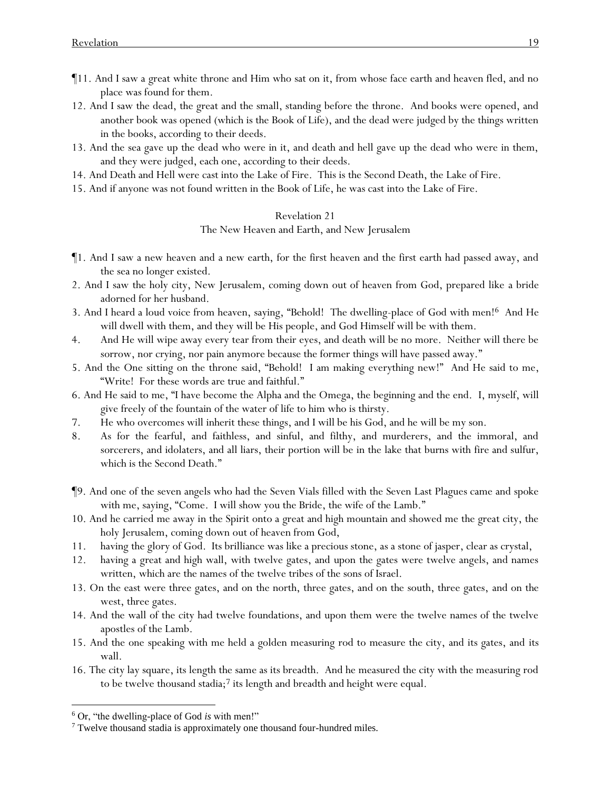- ¶11. And I saw a great white throne and Him who sat on it, from whose face earth and heaven fled, and no place was found for them.
- 12. And I saw the dead, the great and the small, standing before the throne. And books were opened, and another book was opened (which is the Book of Life), and the dead were judged by the things written in the books, according to their deeds.
- 13. And the sea gave up the dead who were in it, and death and hell gave up the dead who were in them, and they were judged, each one, according to their deeds.
- 14. And Death and Hell were cast into the Lake of Fire. This is the Second Death, the Lake of Fire.
- 15. And if anyone was not found written in the Book of Life, he was cast into the Lake of Fire.

The New Heaven and Earth, and New Jerusalem

- ¶1. And I saw a new heaven and a new earth, for the first heaven and the first earth had passed away, and the sea no longer existed.
- 2. And I saw the holy city, New Jerusalem, coming down out of heaven from God, prepared like a bride adorned for her husband.
- 3. And I heard a loud voice from heaven, saying, "Behold! The dwelling-place of God with men!<sup>6</sup> And He will dwell with them, and they will be His people, and God Himself will be with them.
- 4. And He will wipe away every tear from their eyes, and death will be no more. Neither will there be sorrow, nor crying, nor pain anymore because the former things will have passed away."
- 5. And the One sitting on the throne said, "Behold! I am making everything new!" And He said to me, "Write! For these words are true and faithful."
- 6. And He said to me, "I have become the Alpha and the Omega, the beginning and the end. I, myself, will give freely of the fountain of the water of life to him who is thirsty.
- 7. He who overcomes will inherit these things, and I will be his God, and he will be my son.
- 8. As for the fearful, and faithless, and sinful, and filthy, and murderers, and the immoral, and sorcerers, and idolaters, and all liars, their portion will be in the lake that burns with fire and sulfur, which is the Second Death."
- ¶9. And one of the seven angels who had the Seven Vials filled with the Seven Last Plagues came and spoke with me, saying, "Come. I will show you the Bride, the wife of the Lamb."
- 10. And he carried me away in the Spirit onto a great and high mountain and showed me the great city, the holy Jerusalem, coming down out of heaven from God,
- 11. having the glory of God. Its brilliance was like a precious stone, as a stone of jasper, clear as crystal,
- 12. having a great and high wall, with twelve gates, and upon the gates were twelve angels, and names written, which are the names of the twelve tribes of the sons of Israel.
- 13. On the east were three gates, and on the north, three gates, and on the south, three gates, and on the west, three gates.
- 14. And the wall of the city had twelve foundations, and upon them were the twelve names of the twelve apostles of the Lamb.
- 15. And the one speaking with me held a golden measuring rod to measure the city, and its gates, and its wall.
- 16. The city lay square, its length the same as its breadth. And he measured the city with the measuring rod to be twelve thousand stadia; $7$  its length and breadth and height were equal.

<sup>6</sup> Or, "the dwelling-place of God *is* with men!"

<sup>&</sup>lt;sup>7</sup> Twelve thousand stadia is approximately one thousand four-hundred miles.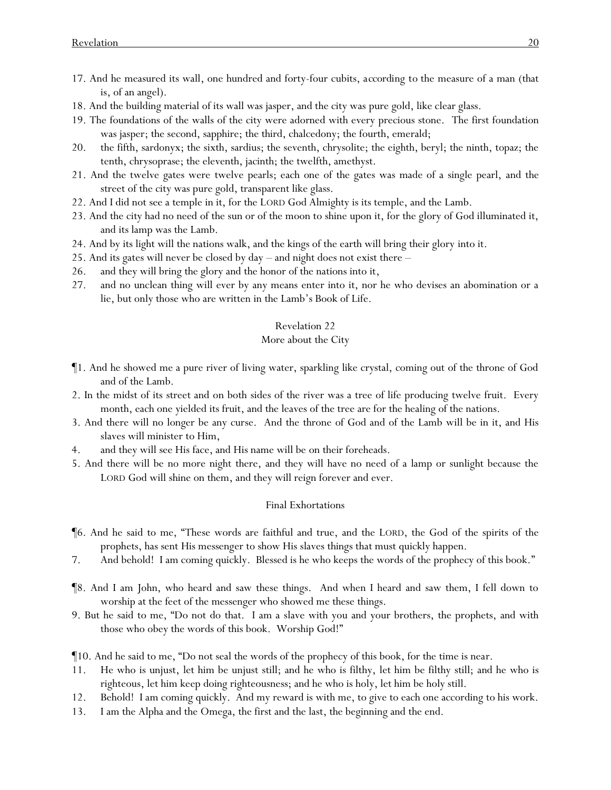- 17. And he measured its wall*,* one hundred and forty-four cubits, *according to* the measure of a man (that is, of an angel).
- 18. And the building material of its wall was jasper, and the city was pure gold, like clear glass.
- 19. The foundations of the walls of the city were adorned with every precious stone. The first foundation was jasper; the second, sapphire; the third, chalcedony; the fourth, emerald;
- 20. the fifth, sardonyx; the sixth, sardius; the seventh, chrysolite; the eighth, beryl; the ninth, topaz; the tenth, chrysoprase; the eleventh, jacinth; the twelfth, amethyst.
- 21. And the twelve gates were twelve pearls; each one of the gates was made of a single pearl, and the street of the city was pure gold, transparent like glass.
- 22. And I did not see a temple in it, for the LORD God Almighty is its temple, and the Lamb.
- 23. And the city had no need of the sun or of the moon to shine upon it, for the glory of God illuminated it, and its lamp was the Lamb.
- 24. And by its light will the nations walk, and the kings of the earth will bring their glory into it.
- 25. And its gates will never be closed by day and night does not exist there –
- 26. and they will bring the glory and the honor of the nations into it,
- 27. and no unclean thing will ever by any means enter into it, nor he who devises an abomination or a lie, but only those who are written in the Lamb's Book of Life.

### More about the City

- ¶1. And he showed me a pure river of living water, sparkling like crystal, coming out of the throne of God and of the Lamb.
- 2. In the midst of its street and on both sides of the river was a tree of life producing twelve fruit. Every month, each one yielded its fruit, and the leaves of the tree are for the healing of the nations.
- 3. And there will no longer be any curse. And the throne of God and of the Lamb will be in it, and His slaves will minister to Him,
- 4. and they will see His face, and His name will be on their foreheads.
- 5. And there will be no more night there, and they will have no need of a lamp or sunlight because the LORD God will shine on them, and they will reign forever and ever.

#### Final Exhortations

- ¶6. And he said to me, "These words are faithful and true, and the LORD, the God of the spirits of the prophets, has sent His messenger to show His slaves things that must quickly happen.
- 7. And behold! I am coming quickly. Blessed is he who keeps the words of the prophecy of this book."
- ¶8. And I am John, who heard and saw these things. And when I heard and saw them, I fell down to worship at the feet of the messenger who showed me these things.
- 9. But he said to me, "Do not do that. I am a slave with you and your brothers, the prophets, and with those who obey the words of this book. Worship God!"
- ¶10. And he said to me, "Do not seal the words of the prophecy of this book, for the time is near.
- 11. He who is unjust, let him be unjust still; and he who is filthy, let him be filthy still; and he who is righteous, let him keep doing righteousness; and he who is holy, let him be holy still.
- 12. Behold! I am coming quickly. And my reward is with me, to give to each one according to his work.
- 13. I am the Alpha and the Omega, the first and the last, the beginning and the end.